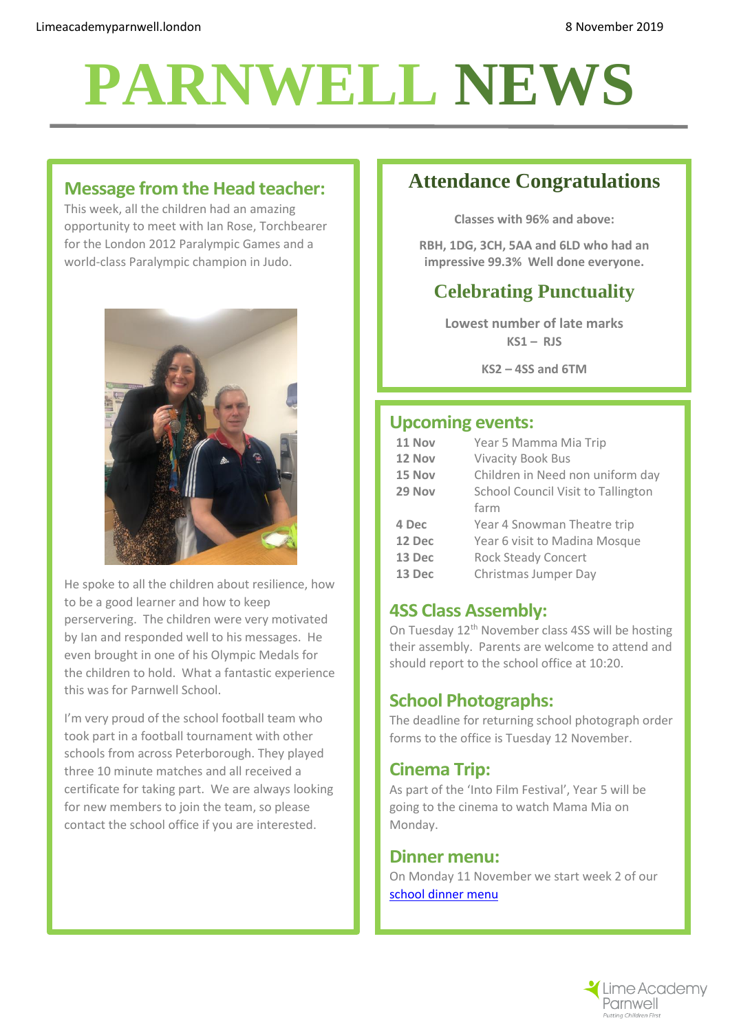# **PARNWELL NEWS**

# **Message from the Head teacher:**

This week, all the children had an amazing opportunity to meet with Ian Rose, Torchbearer for the London 2012 Paralympic Games and a world-class Paralympic champion in Judo.



He spoke to all the children about resilience, how to be a good learner and how to keep perservering. The children were very motivated by Ian and responded well to his messages. He even brought in one of his Olympic Medals for the children to hold. What a fantastic experience this was for Parnwell School.

I'm very proud of the school football team who took part in a football tournament with other schools from across Peterborough. They played three 10 minute matches and all received a certificate for taking part. We are always looking for new members to join the team, so please contact the school office if you are interested.

# **Attendance Congratulations**

**Classes with 96% and above:**

**RBH, 1DG, 3CH, 5AA and 6LD who had an impressive 99.3% Well done everyone.**

# **Celebrating Punctuality**

**Lowest number of late marks KS1 – RJS**

**KS2 – 4SS and 6TM**

#### **Upcoming events:**

| 11 Nov | Year 5 Mamma Mia Trip                     |
|--------|-------------------------------------------|
| 12 Nov | <b>Vivacity Book Bus</b>                  |
| 15 Nov | Children in Need non uniform day          |
| 29 Nov | <b>School Council Visit to Tallington</b> |
|        | farm                                      |
| 4 Dec  | Year 4 Snowman Theatre trip               |
| 12 Dec | Year 6 visit to Madina Mosque             |
| 13 Dec | <b>Rock Steady Concert</b>                |
| 13 Dec | Christmas Jumper Day                      |

# **4SS Class Assembly:**

On Tuesday 12th November class 4SS will be hosting their assembly. Parents are welcome to attend and should report to the school office at 10:20.

# **School Photographs:**

The deadline for returning school photograph order forms to the office is Tuesday 12 November.

# **Cinema Trip:**

As part of the 'Into Film Festival', Year 5 will be going to the cinema to watch Mama Mia on Monday.

#### **Dinner menu:**

On Monday 11 November we start week 2 of our [school dinner menu](http://limeacademyparnwell.london/media/2196/dinner-menu-2019-09-05.pdf)